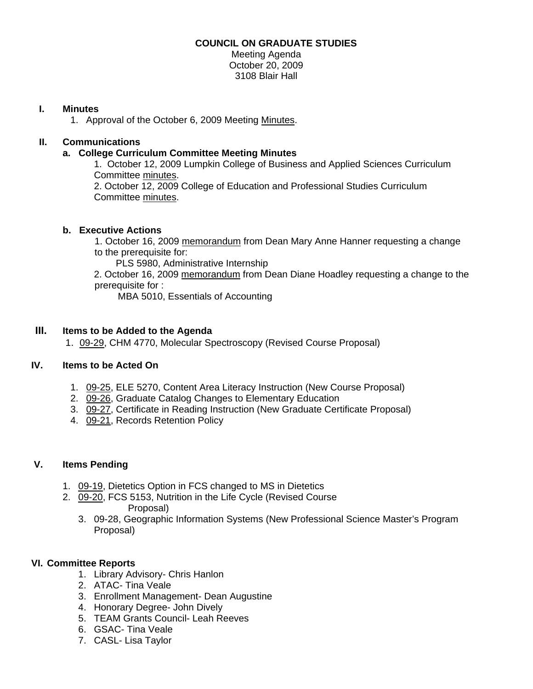## **COUNCIL ON GRADUATE STUDIES**

Meeting Agenda October 20, 2009 3108 Blair Hall

### **I. Minutes**

1. Approval of the October 6, 2009 Meeting [Minutes.](http://www.eiu.edu/~eiucgs/currentminutes/Minutes10-06-09.pdf) 

## **II. Communications**

#### **a. College Curriculum Committee Meeting Minutes**

1. October 12, 2009 Lumpkin College of Business and Applied Sciences Curriculum Committe[e minutes.](http://www.eiu.edu/~eiucgs/currentagendaitems/LCBASMin10-12-09.pdf)  2. October 12, 2009 College of Education and Professional Studies Curriculum

Committee [minutes.](http://www.eiu.edu/~eiucgs/currentagendaitems/CEPSMin10-12-09.pdf) 

#### **b. Executive Actions**

 1. October 16, 2009 [memorandum from](http://www.eiu.edu/~eiucgs/currentagendaitems/COS-Exec-Act-10-16-09.pdf) Dean Mary Anne Hanner requesting a change to the prerequisite for:

PLS 5980, Administrative Internship

 2. October 16, 2009 [memorandum from](http://www.eiu.edu/~eiucgs/currentagendaitems/LCBAS-Exec-Act-10-16-09.pdf) Dean Diane Hoadley requesting a change to the prerequisite for :

MBA 5010, Essentials of Accounting

# **III. Items to be Added to the Agenda**

1[. 09-29, C](http://www.eiu.edu/~eiucgs/currentagendaitems/agenda09-29.pdf)HM 4770, Molecular Spectroscopy (Revised Course Proposal)

# **IV. Items to be Acted On**

- 1. [09-25,](http://www.eiu.edu/~eiucgs/currentagendaitems/agenda09-25.pdf) ELE 5270, Content Area Literacy Instruction (New Course Proposal)
- 2. [09-26, G](http://www.eiu.edu/~eiucgs/currentagendaitems/agenda09-26.pdf)raduate Catalog Changes to Elementary Education
- 3. [09-27, C](http://www.eiu.edu/~eiucgs/currentagendaitems/agenda09-27.pdf)ertificate in Reading Instruction (New Graduate Certificate Proposal)
- 4[. 09-21, Re](http://www.eiu.edu/~eiucgs/currentagendaitems/agenda09-21.pdf)cords Retention Policy

# **V. Items Pending**

- 1. [09-19, D](http://www.eiu.edu/~eiucgs/currentagendaitems/agenda09-19.pdf)ietetics Option in FCS changed to MS in Dietetics
- 2. [09-20,](http://www.eiu.edu/~eiucgs/currentagendaitems/agenda09-20.pdf) FCS 5153, Nutrition in the Life Cycle (Revised Course Proposal)
	- 3. 09-28, Geographic Information Systems (New Professional Science Master's Program Proposal)

#### **VI. Committee Reports**

- 1. Library Advisory- Chris Hanlon
- 2. ATAC- Tina Veale
- 3. Enrollment Management- Dean Augustine
- 4. Honorary Degree- John Dively
- 5. TEAM Grants Council- Leah Reeves
- 6. GSAC- Tina Veale
- 7. CASL- Lisa Taylor